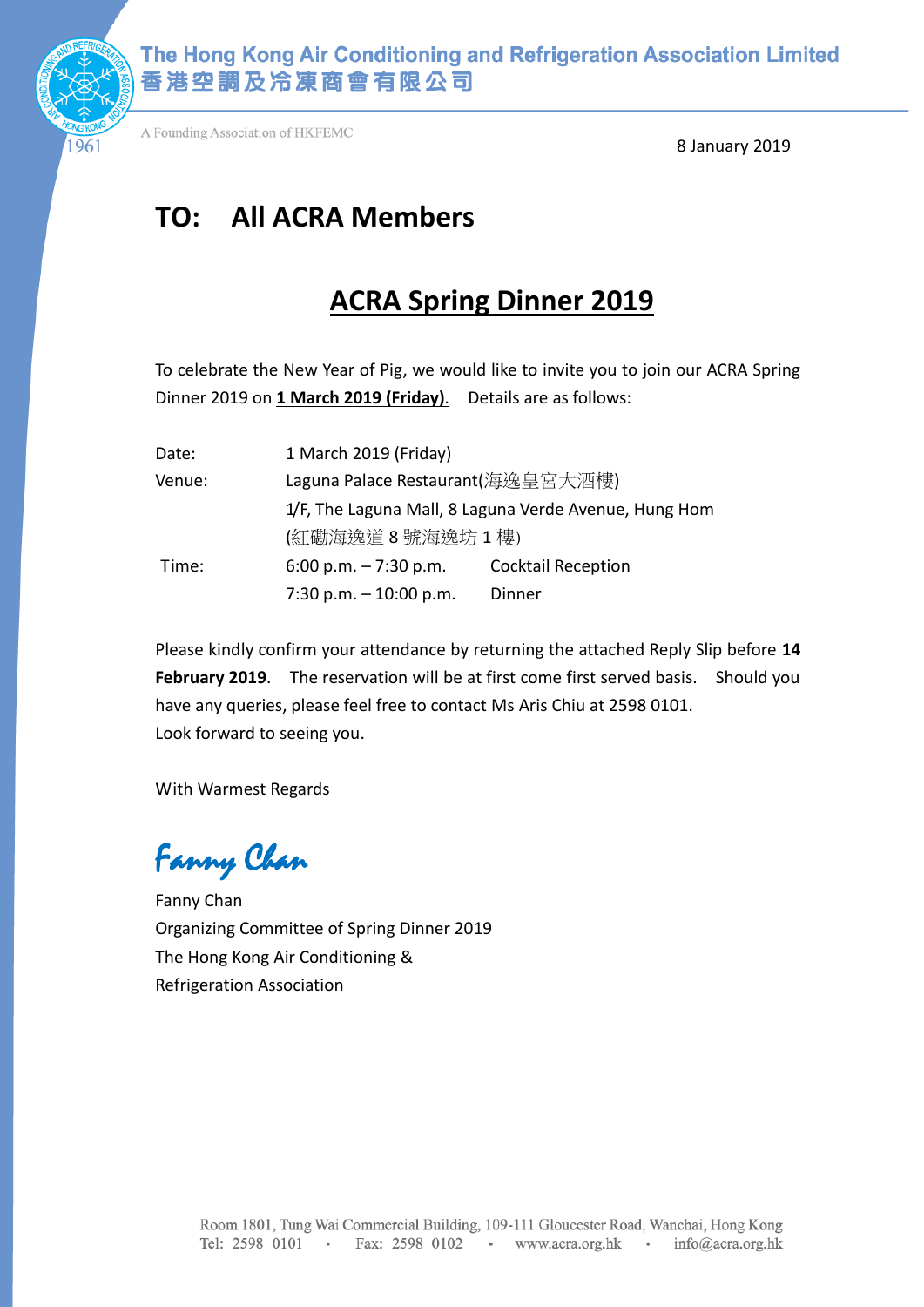

The Hong Kong Air Conditioning and Refrigeration Association Limited 香港空調及冷凍商會有限公司

A Founding Association of HKFEMC

8 January 2019

# **TO: All ACRA Members**

## **ACRA Spring Dinner 2019**

To celebrate the New Year of Pig, we would like to invite you to join our ACRA Spring Dinner 2019 on **1 March 2019 (Friday)**. Details are as follows:

| Date:  | 1 March 2019 (Friday)                                 |                           |  |  |
|--------|-------------------------------------------------------|---------------------------|--|--|
| Venue: | Laguna Palace Restaurant(海逸皇宮大酒樓)                     |                           |  |  |
|        | 1/F, The Laguna Mall, 8 Laguna Verde Avenue, Hung Hom |                           |  |  |
|        | (紅磡海逸道8號海逸坊1樓)                                        |                           |  |  |
| Time:  | 6:00 p.m. $-7:30$ p.m.                                | <b>Cocktail Reception</b> |  |  |
|        | 7:30 p.m. $-10:00$ p.m.                               | Dinner                    |  |  |

Please kindly confirm your attendance by returning the attached Reply Slip before **14 February 2019**. The reservation will be at first come first served basis. Should you have any queries, please feel free to contact Ms Aris Chiu at 2598 0101. Look forward to seeing you.

With Warmest Regards

Fanny Chan

Fanny Chan Organizing Committee of Spring Dinner 2019 The Hong Kong Air Conditioning & Refrigeration Association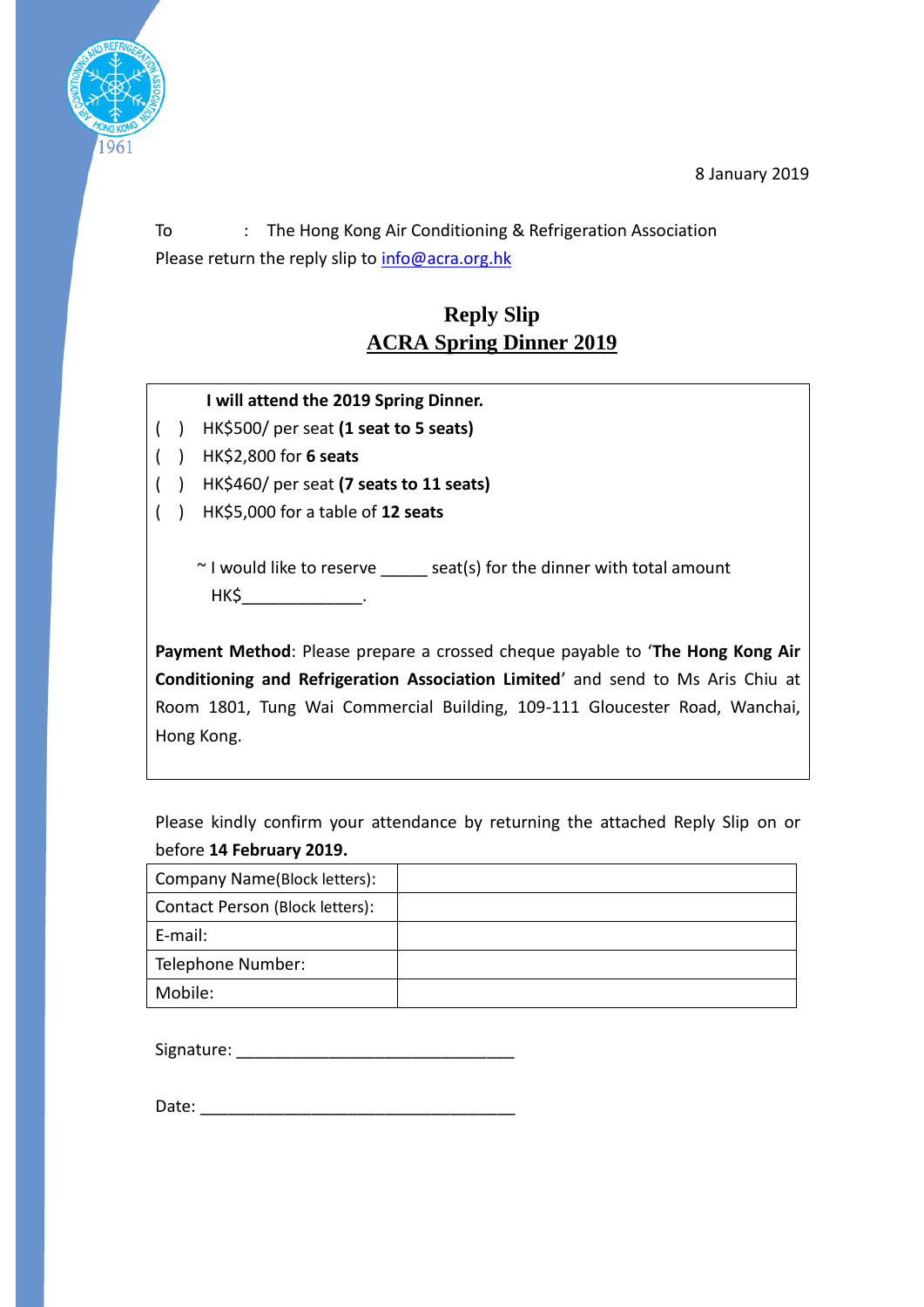8 January 2019



To : The Hong Kong Air Conditioning & Refrigeration Association Please return the reply slip to [info@acra.org.hk](mailto:info@acra.org.hk)

## **Reply Slip ACRA Spring Dinner 2019**

#### **I will attend the 2019 Spring Dinner.**

- ( ) HK\$500/ per seat **(1 seat to 5 seats)**
- ( ) HK\$2,800 for **6 seats**
- ( ) HK\$460/ per seat **(7 seats to 11 seats)**
- ( ) HK\$5,000 for a table of **12 seats**

 $\sim$  I would like to reserve seat(s) for the dinner with total amount HK\$\_\_\_\_\_\_\_\_\_\_\_\_\_.

**Payment Method**: Please prepare a crossed cheque payable to '**The Hong Kong Air Conditioning and Refrigeration Association Limited**' and send to Ms Aris Chiu at Room 1801, Tung Wai Commercial Building, 109-111 Gloucester Road, Wanchai, Hong Kong.

Please kindly confirm your attendance by returning the attached Reply Slip on or before **14 February 2019.**

| Company Name(Block letters):    |  |
|---------------------------------|--|
| Contact Person (Block letters): |  |
| E-mail:                         |  |
| Telephone Number:               |  |
| Mobile:                         |  |

Signature:  $\Box$ 

| Date: |
|-------|
|       |
|       |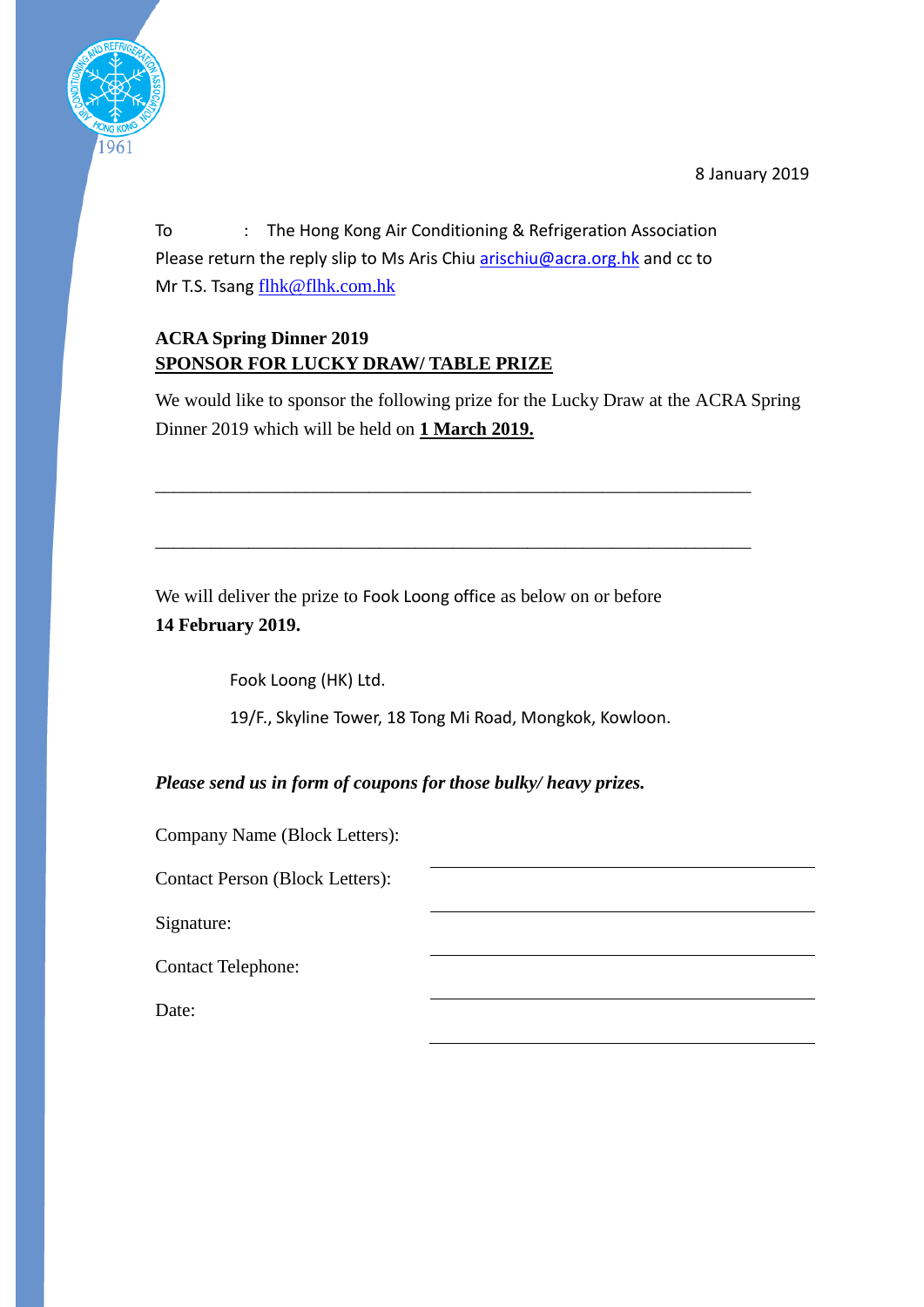8 January 2019



To : The Hong Kong Air Conditioning & Refrigeration Association Please return the reply slip to Ms Aris Chiu [arischiu@acra.org.hk](mailto:arischiu@acra.org.hk) and cc to Mr T.S. Tsang [flhk@flhk.com.hk](mailto:flhk@flhk.com.hk)

### **ACRA Spring Dinner 2019 SPONSOR FOR LUCKY DRAW/ TABLE PRIZE**

We would like to sponsor the following prize for the Lucky Draw at the ACRA Spring Dinner 2019 which will be held on **1 March 2019.**

\_\_\_\_\_\_\_\_\_\_\_\_\_\_\_\_\_\_\_\_\_\_\_\_\_\_\_\_\_\_\_\_\_\_\_\_\_\_\_\_\_\_\_\_\_\_\_\_\_\_\_\_\_\_\_\_\_\_\_\_\_\_\_\_

\_\_\_\_\_\_\_\_\_\_\_\_\_\_\_\_\_\_\_\_\_\_\_\_\_\_\_\_\_\_\_\_\_\_\_\_\_\_\_\_\_\_\_\_\_\_\_\_\_\_\_\_\_\_\_\_\_\_\_\_\_\_\_\_

We will deliver the prize to Fook Loong office as below on or before **14 February 2019.**

Fook Loong (HK) Ltd.

19/F., Skyline Tower, 18 Tong Mi Road, Mongkok, Kowloon.

*Please send us in form of coupons for those bulky/ heavy prizes.*

Company Name (Block Letters):

Contact Person (Block Letters):

Signature:

Contact Telephone:

Date: